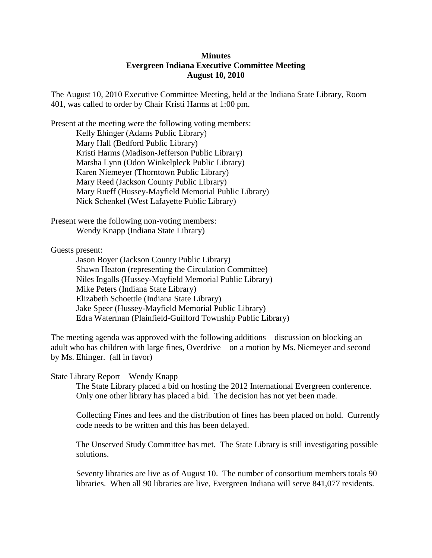## **Minutes Evergreen Indiana Executive Committee Meeting August 10, 2010**

The August 10, 2010 Executive Committee Meeting, held at the Indiana State Library, Room 401, was called to order by Chair Kristi Harms at 1:00 pm.

Present at the meeting were the following voting members: Kelly Ehinger (Adams Public Library) Mary Hall (Bedford Public Library) Kristi Harms (Madison-Jefferson Public Library) Marsha Lynn (Odon Winkelpleck Public Library) Karen Niemeyer (Thorntown Public Library) Mary Reed (Jackson County Public Library) Mary Rueff (Hussey-Mayfield Memorial Public Library) Nick Schenkel (West Lafayette Public Library)

Present were the following non-voting members: Wendy Knapp (Indiana State Library)

Guests present:

Jason Boyer (Jackson County Public Library) Shawn Heaton (representing the Circulation Committee) Niles Ingalls (Hussey-Mayfield Memorial Public Library) Mike Peters (Indiana State Library) Elizabeth Schoettle (Indiana State Library) Jake Speer (Hussey-Mayfield Memorial Public Library) Edra Waterman (Plainfield-Guilford Township Public Library)

The meeting agenda was approved with the following additions – discussion on blocking an adult who has children with large fines, Overdrive – on a motion by Ms. Niemeyer and second by Ms. Ehinger. (all in favor)

## State Library Report – Wendy Knapp

The State Library placed a bid on hosting the 2012 International Evergreen conference. Only one other library has placed a bid. The decision has not yet been made.

Collecting Fines and fees and the distribution of fines has been placed on hold. Currently code needs to be written and this has been delayed.

The Unserved Study Committee has met. The State Library is still investigating possible solutions.

Seventy libraries are live as of August 10. The number of consortium members totals 90 libraries. When all 90 libraries are live, Evergreen Indiana will serve 841,077 residents.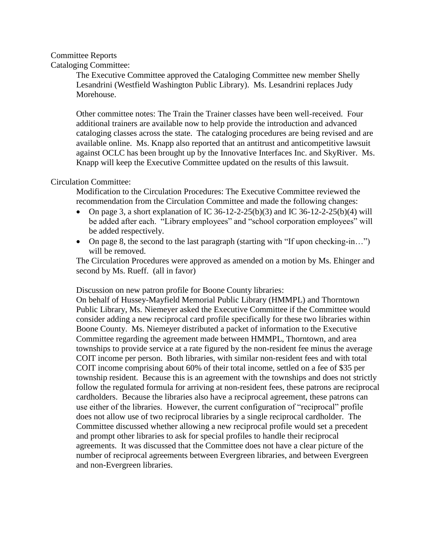# Committee Reports

## Cataloging Committee:

The Executive Committee approved the Cataloging Committee new member Shelly Lesandrini (Westfield Washington Public Library). Ms. Lesandrini replaces Judy Morehouse.

Other committee notes: The Train the Trainer classes have been well-received. Four additional trainers are available now to help provide the introduction and advanced cataloging classes across the state. The cataloging procedures are being revised and are available online. Ms. Knapp also reported that an antitrust and anticompetitive lawsuit against OCLC has been brought up by the Innovative Interfaces Inc. and SkyRiver. Ms. Knapp will keep the Executive Committee updated on the results of this lawsuit.

## Circulation Committee:

Modification to the Circulation Procedures: The Executive Committee reviewed the recommendation from the Circulation Committee and made the following changes:

- On page 3, a short explanation of IC 36-12-2-25(b)(3) and IC 36-12-2-25(b)(4) will be added after each. "Library employees" and "school corporation employees" will be added respectively.
- On page 8, the second to the last paragraph (starting with "If upon checking-in...") will be removed.

The Circulation Procedures were approved as amended on a motion by Ms. Ehinger and second by Ms. Rueff. (all in favor)

Discussion on new patron profile for Boone County libraries:

On behalf of Hussey-Mayfield Memorial Public Library (HMMPL) and Thorntown Public Library, Ms. Niemeyer asked the Executive Committee if the Committee would consider adding a new reciprocal card profile specifically for these two libraries within Boone County. Ms. Niemeyer distributed a packet of information to the Executive Committee regarding the agreement made between HMMPL, Thorntown, and area townships to provide service at a rate figured by the non-resident fee minus the average COIT income per person. Both libraries, with similar non-resident fees and with total COIT income comprising about 60% of their total income, settled on a fee of \$35 per township resident. Because this is an agreement with the townships and does not strictly follow the regulated formula for arriving at non-resident fees, these patrons are reciprocal cardholders. Because the libraries also have a reciprocal agreement, these patrons can use either of the libraries. However, the current configuration of "reciprocal" profile does not allow use of two reciprocal libraries by a single reciprocal cardholder. The Committee discussed whether allowing a new reciprocal profile would set a precedent and prompt other libraries to ask for special profiles to handle their reciprocal agreements. It was discussed that the Committee does not have a clear picture of the number of reciprocal agreements between Evergreen libraries, and between Evergreen and non-Evergreen libraries.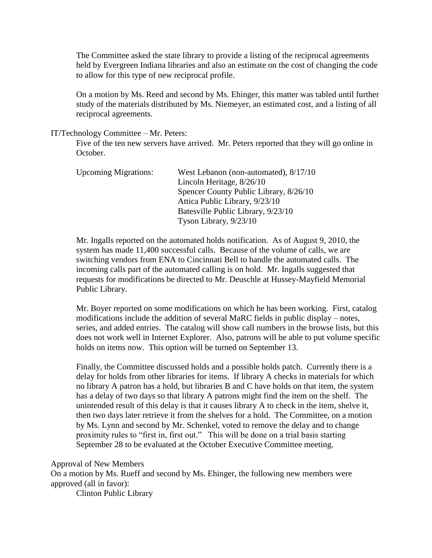The Committee asked the state library to provide a listing of the reciprocal agreements held by Evergreen Indiana libraries and also an estimate on the cost of changing the code to allow for this type of new reciprocal profile.

On a motion by Ms. Reed and second by Ms. Ehinger, this matter was tabled until further study of the materials distributed by Ms. Niemeyer, an estimated cost, and a listing of all reciprocal agreements.

#### IT/Technology Committee – Mr. Peters:

Five of the ten new servers have arrived. Mr. Peters reported that they will go online in October.

| <b>Upcoming Migrations:</b> | West Lebanon (non-automated), 8/17/10  |
|-----------------------------|----------------------------------------|
|                             | Lincoln Heritage, 8/26/10              |
|                             | Spencer County Public Library, 8/26/10 |
|                             | Attica Public Library, 9/23/10         |
|                             | Batesville Public Library, 9/23/10     |
|                             | Tyson Library, $9/23/10$               |

Mr. Ingalls reported on the automated holds notification. As of August 9, 2010, the system has made 11,400 successful calls. Because of the volume of calls, we are switching vendors from ENA to Cincinnati Bell to handle the automated calls. The incoming calls part of the automated calling is on hold. Mr. Ingalls suggested that requests for modifications be directed to Mr. Deuschle at Hussey-Mayfield Memorial Public Library.

Mr. Boyer reported on some modifications on which he has been working. First, catalog modifications include the addition of several MaRC fields in public display – notes, series, and added entries. The catalog will show call numbers in the browse lists, but this does not work well in Internet Explorer. Also, patrons will be able to put volume specific holds on items now. This option will be turned on September 13.

Finally, the Committee discussed holds and a possible holds patch. Currently there is a delay for holds from other libraries for items. If library A checks in materials for which no library A patron has a hold, but libraries B and C have holds on that item, the system has a delay of two days so that library A patrons might find the item on the shelf. The unintended result of this delay is that it causes library A to check in the item, shelve it, then two days later retrieve it from the shelves for a hold. The Committee, on a motion by Ms. Lynn and second by Mr. Schenkel, voted to remove the delay and to change proximity rules to "first in, first out." This will be done on a trial basis starting September 28 to be evaluated at the October Executive Committee meeting.

#### Approval of New Members

On a motion by Ms. Rueff and second by Ms. Ehinger, the following new members were approved (all in favor):

Clinton Public Library